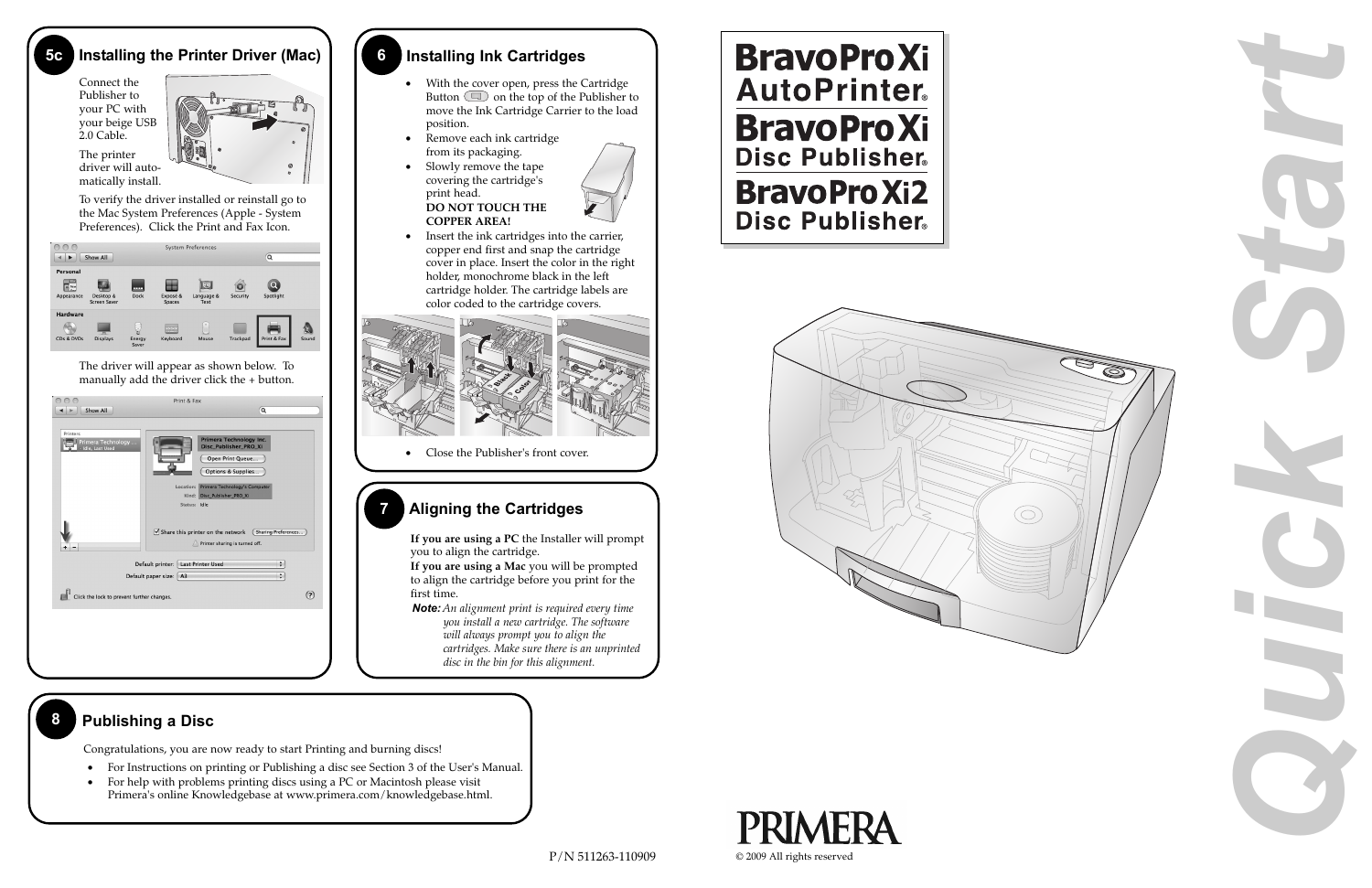

- For Instructions on printing or Publishing a disc see Section 3 of the User's Manual.
- • For help with problems printing discs using a PC or Macintosh please visit Primera's online Knowledgebase at www.primera.com/knowledgebase.html.





#### **7 Aligning the Cartridges**

**If you are using a PC** the Installer will prompt you to align the cartridge.

**If you are using a Mac** you will be prompted to align the cartridge before you print for the first time.

*Note: An alignment print is required every time you install a new cartridge. The software will always prompt you to align the cartridges. Make sure there is an unprinted disc in the bin for this alignment.*

### **6 Installing Ink Cartridges**

- • With the cover open, press the Cartridge Button  $\Box$  on the top of the Publisher to move the Ink Cartridge Carrier to the load position.
- • Remove each ink cartridge from its packaging.
- • Slowly remove the tape covering the cartridge's print head. **DO NOT TOUCH THE COPPER AREA!**



• Insert the ink cartridges into the carrier, copper end first and snap the cartridge cover in place. Insert the color in the right holder, monochrome black in the left cartridge holder. The cartridge labels are color coded to the cartridge covers.



• Close the Publisher's front cover.

#### **8 Publishing a Disc**

#### **Installing the Printer Driver (Mac)**

Connect the Publisher to your PC with your beige USB 2.0 Cable.

The printer



To verify the driver installed or reinstall go to the Mac System Preferences (Apple - System Preferences). Click the Print and Fax Icon.

| ▶                                                | Show All                         |                      |                           | <b>System Preferences</b> |          | Q           |       |
|--------------------------------------------------|----------------------------------|----------------------|---------------------------|---------------------------|----------|-------------|-------|
| Personal<br>File<br>$^{\circ}$ New<br>Appearance | Desktop &<br><b>Screen Saver</b> | ---<br><b>Dock</b>   | Exposé &<br><b>Spaces</b> | Language &<br>Text        | Security | Spotlight   |       |
| <b>Hardware</b><br>CDs & DVDs                    | <b>Displays</b>                  | 5<br>Energy<br>Saver | 33.33<br>Keyboard         | $\sim$<br>Mouse           | Trackpad | Print & Fax | Sound |

The driver will appear as shown below. To manually add the driver click the + button.

| Printers<br>Primera Technology Inc.<br>Primera Technology<br>• Idle, Last Used<br>Disc_Publisher_PRO_Xi<br>Open Print Queue<br>Options & Supplies<br>Location: Primera Technology's Computer<br>Kind: Disc_Publisher_PRO_Xi<br>Status: Idle<br>$\triangledown$ Share this printer on the network<br>Sharing Preferences<br>Printer sharing is turned off.<br>Default printer: Last Printer Used<br>$\div$<br>$\div$<br>Default paper size:   A3 | Show All | Print & Fax | Q |  |
|-------------------------------------------------------------------------------------------------------------------------------------------------------------------------------------------------------------------------------------------------------------------------------------------------------------------------------------------------------------------------------------------------------------------------------------------------|----------|-------------|---|--|
|                                                                                                                                                                                                                                                                                                                                                                                                                                                 |          |             |   |  |
|                                                                                                                                                                                                                                                                                                                                                                                                                                                 |          |             |   |  |
|                                                                                                                                                                                                                                                                                                                                                                                                                                                 |          |             |   |  |
| ?<br>Click the lock to prevent further changes.                                                                                                                                                                                                                                                                                                                                                                                                 |          |             |   |  |